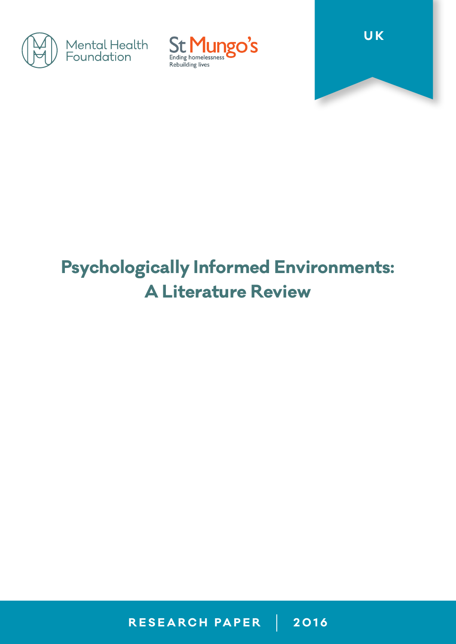





# **Psychologically Informed Environments: A Literature Review**

**RESEARCH PAPER 2016**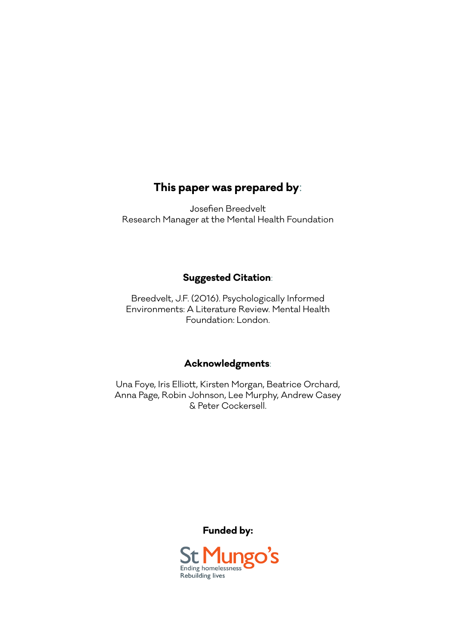#### **This paper was prepared by**:

Josefien Breedvelt Research Manager at the Mental Health Foundation

#### **Suggested Citation**:

Breedvelt, J.F. (2016). Psychologically Informed Environments: A Literature Review. Mental Health Foundation: London.

#### **Acknowledgments**:

Una Foye, Iris Elliott, Kirsten Morgan, Beatrice Orchard, Anna Page, Robin Johnson, Lee Murphy, Andrew Casey & Peter Cockersell.

**Funded by:**

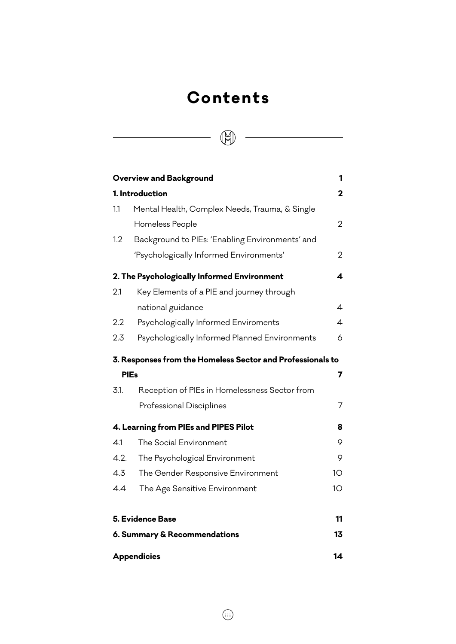# **Contents**

 $\begin{tabular}{|c|c|c|c|} \hline \quad \quad & \quad \quad & \quad \quad & \quad \quad \\ \hline \quad \quad & \quad \quad & \quad \quad & \quad \quad \\ \hline \quad \quad & \quad \quad & \quad \quad & \quad \quad \\ \hline \end{tabular}$ 

|                                       | <b>Overview and Background</b>                             | 1              |
|---------------------------------------|------------------------------------------------------------|----------------|
| 1. Introduction                       |                                                            | $\mathbf 2$    |
| 1.1                                   | Mental Health, Complex Needs, Trauma, & Single             |                |
|                                       | Homeless People                                            | $\overline{2}$ |
| 1.2                                   | Background to PIEs: 'Enabling Environments' and            |                |
|                                       | 'Psychologically Informed Environments'                    | 2              |
|                                       | 2. The Psychologically Informed Environment                | 4              |
| 2.1                                   | Key Elements of a PIE and journey through                  |                |
|                                       | national guidance                                          | 4              |
| 2.2                                   | Psychologically Informed Enviroments                       | $\overline{4}$ |
| 2.3                                   | Psychologically Informed Planned Environments              | 6              |
|                                       | 3. Responses from the Homeless Sector and Professionals to |                |
|                                       | <b>PIEs</b>                                                | 7              |
| 3.1.                                  | Reception of PIEs in Homelessness Sector from              |                |
|                                       | Professional Disciplines                                   | $\overline{7}$ |
| 4. Learning from PIEs and PIPES Pilot |                                                            | 8              |
| 4.1                                   | The Social Environment                                     | 9              |
| 4.2.                                  | The Psychological Environment                              | 9              |
| 4.3                                   | The Gender Responsive Environment                          | 10             |
| 4.4                                   | The Age Sensitive Environment                              | 10             |
|                                       | 5. Evidence Base                                           | 11             |
| 6. Summary & Recommendations          |                                                            | 13             |
| <b>Appendicies</b>                    |                                                            | 14             |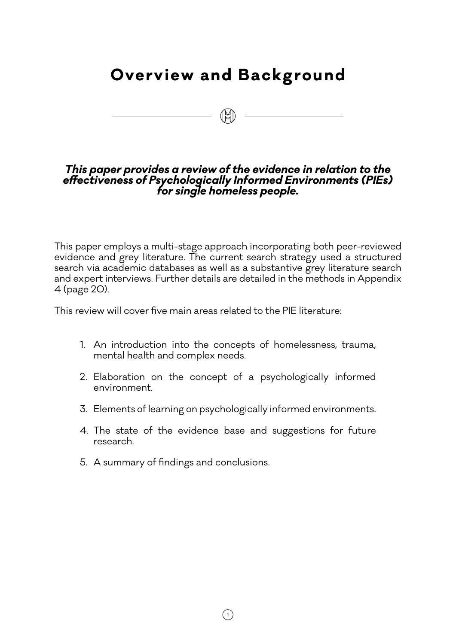# **Overview and Background**

 $\begin{picture}(20,10) \put(0,0){\line(1,0){10}} \put(15,0){\line(1,0){10}} \put(15,0){\line(1,0){10}} \put(15,0){\line(1,0){10}} \put(15,0){\line(1,0){10}} \put(15,0){\line(1,0){10}} \put(15,0){\line(1,0){10}} \put(15,0){\line(1,0){10}} \put(15,0){\line(1,0){10}} \put(15,0){\line(1,0){10}} \put(15,0){\line(1,0){10}} \put(15,0){\line(1$ 

#### *This paper provides a review of the evidence in relation to the effectiveness of Psychologically Informed Environments (PIEs) for single homeless people.*

This paper employs a multi-stage approach incorporating both peer-reviewed evidence and grey literature. The current search strategy used a structured search via academic databases as well as a substantive grey literature search and expert interviews. Further details are detailed in the methods in Appendix 4 (page 20).

This review will cover five main areas related to the PIE literature:

- 1. An introduction into the concepts of homelessness, trauma, mental health and complex needs.
- 2. Elaboration on the concept of a psychologically informed environment.
- 3. Elements of learning on psychologically informed environments.
- 4. The state of the evidence base and suggestions for future research.
- 5. A summary of findings and conclusions.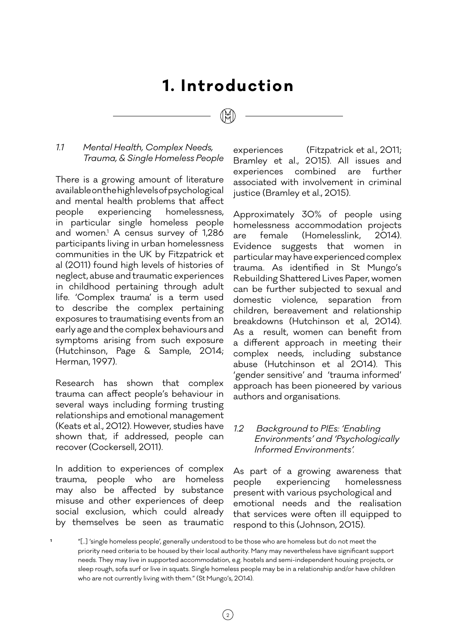# **1. Introduction**

#### *1.1 Mental Health, Complex Needs, Trauma, & Single Homeless People*

There is a growing amount of literature available on the high levels of psychological and mental health problems that affect people experiencing homelessness, in particular single homeless people and women.1 A census survey of 1,286 participants living in urban homelessness communities in the UK by Fitzpatrick et al (2011) found high levels of histories of neglect, abuse and traumatic experiences in childhood pertaining through adult life. 'Complex trauma' is a term used to describe the complex pertaining exposures to traumatising events from an early age and the complex behaviours and symptoms arising from such exposure (Hutchinson, Page & Sample, 2014; Herman, 1997).

Research has shown that complex trauma can affect people's behaviour in several ways including forming trusting relationships and emotional management (Keats et al., 2012). However, studies have shown that, if addressed, people can recover (Cockersell, 2011).

In addition to experiences of complex trauma, people who are homeless may also be affected by substance misuse and other experiences of deep social exclusion, which could already by themselves be seen as traumatic experiences (Fitzpatrick et al., 2011; Bramley et al., 2015). All issues and experiences combined are further associated with involvement in criminal justice (Bramley et al., 2015).

Approximately 30% of people using homelessness accommodation projects are female (Homelesslink, 2014). Evidence suggests that women in particular may have experienced complex trauma. As identified in St Mungo's Rebuilding Shattered Lives Paper, women can be further subjected to sexual and domestic violence, separation from children, bereavement and relationship breakdowns (Hutchinson et al, 2014). As a result, women can benefit from a different approach in meeting their complex needs, including substance abuse (Hutchinson et al 2014). This 'gender sensitive' and 'trauma informed' approach has been pioneered by various authors and organisations.

#### *1.2 Background to PIEs: 'Enabling Environments' and 'Psychologically Informed Environments'.*

As part of a growing awareness that people experiencing homelessness present with various psychological and emotional needs and the realisation that services were often ill equipped to respond to this (Johnson, 2015).

**<sup>1</sup>** "[..] 'single homeless people', generally understood to be those who are homeless but do not meet the priority need criteria to be housed by their local authority. Many may nevertheless have significant support needs. They may live in supported accommodation, e.g. hostels and semi-independent housing projects, or sleep rough, sofa surf or live in squats. Single homeless people may be in a relationship and/or have children who are not currently living with them." (St Mungo's, 2014).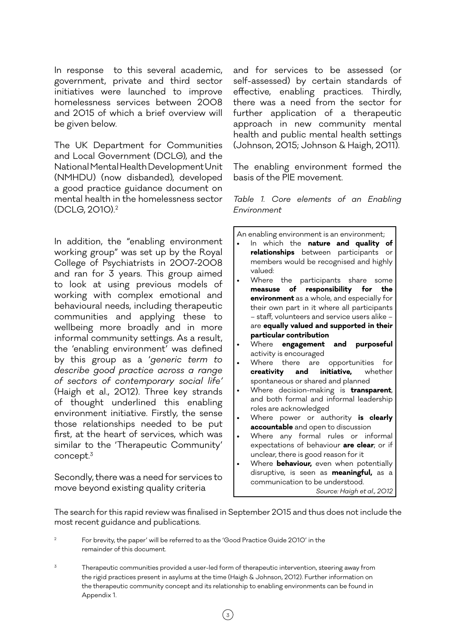In response to this several academic, government, private and third sector initiatives were launched to improve homelessness services between 2008 and 2015 of which a brief overview will be given below.

The UK Department for Communities and Local Government (DCLG), and the National Mental Health Development Unit (NMHDU) (now disbanded), developed a good practice guidance document on mental health in the homelessness sector (DCLG, 2010).2

In addition, the "enabling environment working group" was set up by the Royal College of Psychiatrists in 2007-2008 and ran for 3 years. This group aimed to look at using previous models of working with complex emotional and behavioural needs, including therapeutic communities and applying these to wellbeing more broadly and in more informal community settings. As a result, the 'enabling environment' was defined by this group as a '*generic term to describe good practice across a range of sectors of contemporary social life'* (Haigh et al., 2012). Three key strands of thought underlined this enabling environment initiative. Firstly, the sense those relationships needed to be put first, at the heart of services, which was similar to the 'Therapeutic Community' concept.3

Secondly, there was a need for services to move beyond existing quality criteria

and for services to be assessed (or self-assessed) by certain standards of effective, enabling practices. Thirdly, there was a need from the sector for further application of a therapeutic approach in new community mental health and public mental health settings (Johnson, 2015; Johnson & Haigh, 2011).

The enabling environment formed the basis of the PIE movement.

*Table 1. Core elements of an Enabling Environment*

An enabling environment is an environment;

- In which the **nature and quality of relationships** between participants or members would be recognised and highly valued:
- Where the participants share some **measuse of responsibility for the environment** as a whole, and especially for their own part in it where all participants – staff, volunteers and service users alike – are **equally valued and supported in their particular contribution**
- Where **engagement and purposeful** activity is encouraged
- Where there are opportunities for **creativity and initiative,** whether spontaneous or shared and planned
- Where decision-making is **transparent**, and both formal and informal leadership roles are acknowledged
- Where power or authority **is clearly accountable** and open to discussion
- Where any formal rules or informal expectations of behaviour **are clear**; or if unclear, there is good reason for it
- Where **behaviour,** even when potentially disruptive, is seen as **meaningful,** as a communication to be understood. *Source: Haigh et al., 2012*

The search for this rapid review was finalised in September 2015 and thus does not include the most recent guidance and publications.

<sup>2</sup> For brevity, the paper' will be referred to as the 'Good Practice Guide 2010' in the remainder of this document.

Therapeutic communities provided a user-led form of therapeutic intervention, steering away from the rigid practices present in asylums at the time (Haigh & Johnson, 2012). Further information on the therapeutic community concept and its relationship to enabling environments can be found in Appendix 1.

 $\left(\begin{smallmatrix} 3 \end{smallmatrix}\right)$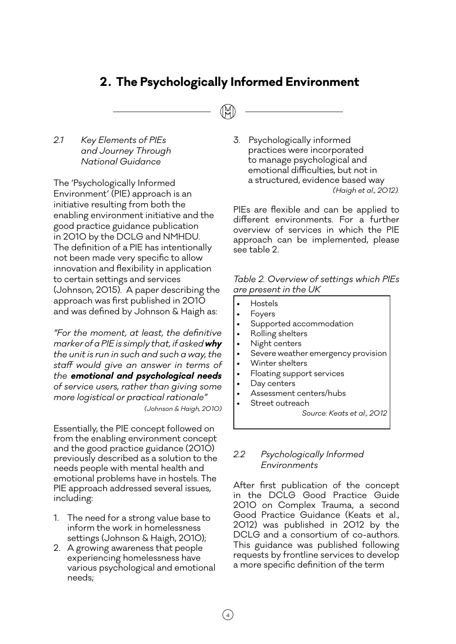# **2. The Psychologically Informed Environment**

#### *2.1 Key Elements of PIEs and Journey Through National Guidance*

The 'Psychologically Informed Environment' (PIE) approach is an initiative resulting from both the enabling environment initiative and the good practice guidance publication in 2010 by the DCLG and NMHDU. The definition of a PIE has intentionally not been made very specific to allow innovation and flexibility in application to certain settings and services (Johnson, 2015). A paper describing the approach was first published in 2010 and was defined by Johnson & Haigh as:

*"For the moment, at least, the definitive marker of a PIE is simply that, if asked why the unit is run in such and such a way, the staff would give an answer in terms of the emotional and psychological needs of service users, rather than giving some more logistical or practical rationale" (Johnson & Haigh, 2010)*

Essentially, the PIE concept followed on from the enabling environment concept and the good practice guidance (2010) previously described as a solution to the needs people with mental health and emotional problems have in hostels. The PIE approach addressed several issues, including:

- 1. The need for a strong value base to inform the work in homelessness settings (Johnson & Haigh, 2010);
- 2. A growing awareness that people experiencing homelessness have various psychological and emotional needs;

3. Psychologically informed practices were incorporated to manage psychological and emotional difficulties, but not in a structured, evidence based way *(Haigh et al., 2012).* 

PIEs are flexible and can be applied to different environments. For a further overview of services in which the PIE approach can be implemented, please see table 2.

*Table 2. Overview of settings which PIEs are present in the UK*

- Hostels
- Foyers
- Supported accommodation
- Rolling shelters
- Night centers
- Severe weather emergency provision
- Winter shelters
- Floating support services
- Day centers
- Assessment centers/hubs
- Street outreach *Source: Keats et al., 2012*

#### *2.2 Psychologically Informed Environments*

After first publication of the concept in the DCLG Good Practice Guide 2010 on Complex Trauma, a second Good Practice Guidance (Keats et al., 2012) was published in 2012 by the DCLG and a consortium of co-authors. This guidance was published following requests by frontline services to develop a more specific definition of the term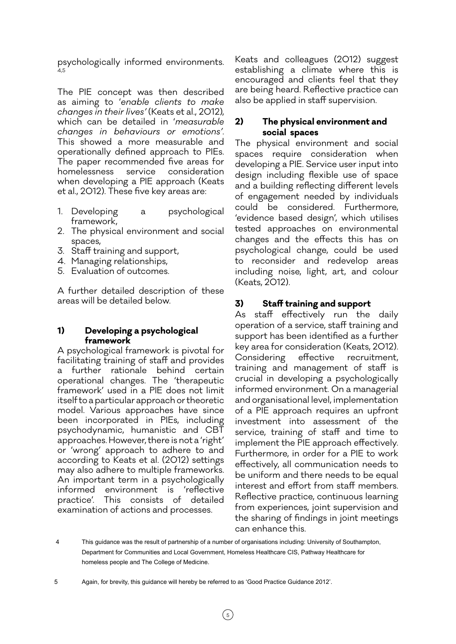psychologically informed environments. 4,5

The PIE concept was then described as aiming to '*enable clients to make changes in their lives'* (Keats et al., 2012), which can be detailed in '*measurable changes in behaviours or emotions'*. This showed a more measurable and operationally defined approach to PIEs. The paper recommended five areas for homelessness service consideration when developing a PIE approach (Keats et al., 2012). These five key areas are:

- 1. Developing a psychological framework,
- 2. The physical environment and social spaces,
- 3. Staff training and support,
- 4. Managing relationships,
- 5. Evaluation of outcomes.

A further detailed description of these areas will be detailed below.

#### **1) Developing a psychological framework**

A psychological framework is pivotal for facilitating training of staff and provides a further rationale behind certain operational changes. The 'therapeutic framework' used in a PIE does not limit itself to a particular approach or theoretic model. Various approaches have since been incorporated in PIEs, including psychodynamic, humanistic and CBT approaches. However, there is not a 'right' or 'wrong' approach to adhere to and according to Keats et al. (2012) settings may also adhere to multiple frameworks. An important term in a psychologically informed environment is 'reflective practice'. This consists of detailed examination of actions and processes.

Keats and colleagues (2012) suggest establishing a climate where this is encouraged and clients feel that they are being heard. Reflective practice can also be applied in staff supervision.

#### **2) The physical environment and social spaces**

The physical environment and social spaces require consideration when developing a PIE. Service user input into design including flexible use of space and a building reflecting different levels of engagement needed by individuals could be considered. Furthermore, 'evidence based design', which utilises tested approaches on environmental changes and the effects this has on psychological change, could be used to reconsider and redevelop areas including noise, light, art, and colour (Keats, 2012).

#### **3) Staff training and support**

As staff effectively run the daily operation of a service, staff training and support has been identified as a further key area for consideration (Keats, 2012). Considering effective recruitment, training and management of staff is crucial in developing a psychologically informed environment. On a managerial and organisational level, implementation of a PIE approach requires an upfront investment into assessment of the service, training of staff and time to implement the PIE approach effectively. Furthermore, in order for a PIE to work effectively, all communication needs to be uniform and there needs to be equal interest and effort from staff members. Reflective practice, continuous learning from experiences, joint supervision and the sharing of findings in joint meetings can enhance this.

 <sup>4</sup> This guidance was the result of partnership of a number of organisations including: University of Southampton, Department for Communities and Local Government, Homeless Healthcare CIS, Pathway Healthcare for homeless people and The College of Medicine.

<sup>5</sup> Again, for brevity, this guidance will hereby be referred to as 'Good Practice Guidance 2012'.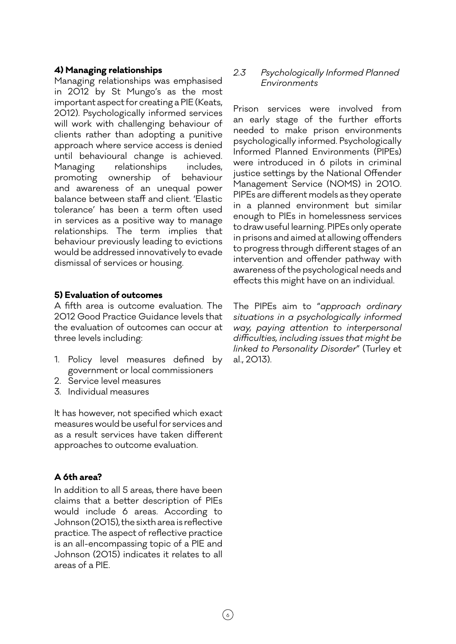#### **4) Managing relationships**

Managing relationships was emphasised in 2012 by St Mungo's as the most important aspect for creating a PIE (Keats, 2012). Psychologically informed services will work with challenging behaviour of clients rather than adopting a punitive approach where service access is denied until behavioural change is achieved. Managing relationships includes, promoting ownership of behaviour and awareness of an unequal power balance between staff and client. 'Elastic tolerance' has been a term often used in services as a positive way to manage relationships. The term implies that behaviour previously leading to evictions would be addressed innovatively to evade dismissal of services or housing.

#### **5) Evaluation of outcomes**

A fifth area is outcome evaluation. The 2012 Good Practice Guidance levels that the evaluation of outcomes can occur at three levels including:

- 1. Policy level measures defined by government or local commissioners
- 2. Service level measures
- 3. Individual measures

It has however, not specified which exact measures would be useful for services and as a result services have taken different approaches to outcome evaluation.

#### **A 6th area?**

In addition to all 5 areas, there have been claims that a better description of PIEs would include 6 areas. According to Johnson (2015), the sixth area is reflective practice. The aspect of reflective practice is an all-encompassing topic of a PIE and Johnson (2015) indicates it relates to all areas of a PIE.

#### *2.3 Psychologically Informed Planned Environments*

Prison services were involved from an early stage of the further efforts needed to make prison environments psychologically informed. Psychologically Informed Planned Environments (PIPEs) were introduced in 6 pilots in criminal justice settings by the National Offender Management Service (NOMS) in 2010. PIPEs are different models as they operate in a planned environment but similar enough to PIEs in homelessness services to draw useful learning. PIPEs only operate in prisons and aimed at allowing offenders to progress through different stages of an intervention and offender pathway with awareness of the psychological needs and effects this might have on an individual.

The PIPEs aim to "*approach ordinary situations in a psychologically informed way, paying attention to interpersonal difficulties, including issues that might be linked to Personality Disorder*" (Turley et al., 2013).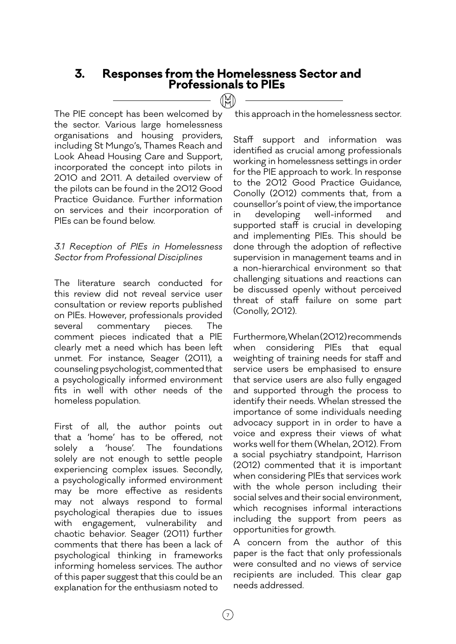# **3. Responses from the Homelessness Sector and Professionals to PIEs**

 $(\mathbb{M})$ 

The PIE concept has been welcomed by the sector. Various large homelessness organisations and housing providers, including St Mungo's, Thames Reach and Look Ahead Housing Care and Support, incorporated the concept into pilots in 2010 and 2011. A detailed overview of the pilots can be found in the 2012 Good Practice Guidance. Further information on services and their incorporation of PIEs can be found below.

#### *3.1 Reception of PIEs in Homelessness Sector from Professional Disciplines*

The literature search conducted for this review did not reveal service user consultation or review reports published on PIEs. However, professionals provided several commentary pieces. The comment pieces indicated that a PIE clearly met a need which has been left unmet. For instance, Seager (2011), a counseling psychologist, commented that a psychologically informed environment fits in well with other needs of the homeless population.

First of all, the author points out that a 'home' has to be offered, not solely a 'house'. The foundations solely are not enough to settle people experiencing complex issues. Secondly, a psychologically informed environment may be more effective as residents may not always respond to formal psychological therapies due to issues with engagement, vulnerability and chaotic behavior. Seager (2011) further comments that there has been a lack of psychological thinking in frameworks informing homeless services. The author of this paper suggest that this could be an explanation for the enthusiasm noted to

this approach in the homelessness sector.

Staff support and information was identified as crucial among professionals working in homelessness settings in order for the PIE approach to work. In response to the 2012 Good Practice Guidance, Conolly (2012) comments that, from a counsellor's point of view, the importance in developing well-informed and supported staff is crucial in developing and implementing PIEs. This should be done through the adoption of reflective supervision in management teams and in a non-hierarchical environment so that challenging situations and reactions can be discussed openly without perceived threat of staff failure on some part (Conolly, 2012).

Furthermore, Whelan (2012) recommends when considering PIEs that equal weighting of training needs for staff and service users be emphasised to ensure that service users are also fully engaged and supported through the process to identify their needs. Whelan stressed the importance of some individuals needing advocacy support in in order to have a voice and express their views of what works well for them (Whelan, 2012). From a social psychiatry standpoint, Harrison (2012) commented that it is important when considering PIEs that services work with the whole person including their social selves and their social environment, which recognises informal interactions including the support from peers as opportunities for growth.

A concern from the author of this paper is the fact that only professionals were consulted and no views of service recipients are included. This clear gap needs addressed.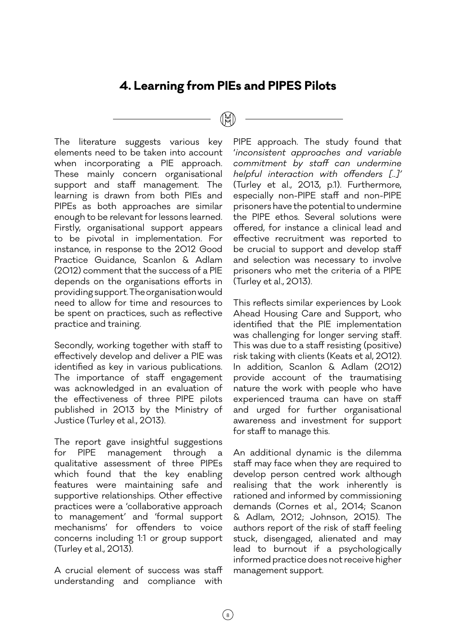#### **4. Learning from PIEs and PIPES Pilots**

The literature suggests various key elements need to be taken into account when incorporating a PIE approach. These mainly concern organisational support and staff management. The learning is drawn from both PIEs and PIPEs as both approaches are similar enough to be relevant for lessons learned. Firstly, organisational support appears to be pivotal in implementation. For instance, in response to the 2012 Good Practice Guidance, Scanlon & Adlam (2012) comment that the success of a PIE depends on the organisations efforts in providing support. The organisation would need to allow for time and resources to be spent on practices, such as reflective practice and training.

Secondly, working together with staff to effectively develop and deliver a PIE was identified as key in various publications. The importance of staff engagement was acknowledged in an evaluation of the effectiveness of three PIPE pilots published in 2013 by the Ministry of Justice (Turley et al., 2013).

The report gave insightful suggestions for PIPE management through a qualitative assessment of three PIPEs which found that the key enabling features were maintaining safe and supportive relationships. Other effective practices were a 'collaborative approach to management' and 'formal support mechanisms' for offenders to voice concerns including 1:1 or group support (Turley et al., 2013).

A crucial element of success was staff understanding and compliance with PIPE approach. The study found that '*inconsistent approaches and variable commitment by staff can undermine helpful interaction with offenders [..]'* (Turley et al., 2013, p.1). Furthermore, especially non-PIPE staff and non-PIPE prisoners have the potential to undermine the PIPE ethos. Several solutions were offered, for instance a clinical lead and effective recruitment was reported to be crucial to support and develop staff and selection was necessary to involve prisoners who met the criteria of a PIPE (Turley et al., 2013).

This reflects similar experiences by Look Ahead Housing Care and Support, who identified that the PIE implementation was challenging for longer serving staff. This was due to a staff resisting (positive) risk taking with clients (Keats et al, 2012). In addition, Scanlon & Adlam (2012) provide account of the traumatising nature the work with people who have experienced trauma can have on staff and urged for further organisational awareness and investment for support for staff to manage this.

An additional dynamic is the dilemma staff may face when they are required to develop person centred work although realising that the work inherently is rationed and informed by commissioning demands (Cornes et al., 2014; Scanon & Adlam, 2012; Johnson, 2015). The authors report of the risk of staff feeling stuck, disengaged, alienated and may lead to burnout if a psychologically informed practice does not receive higher management support.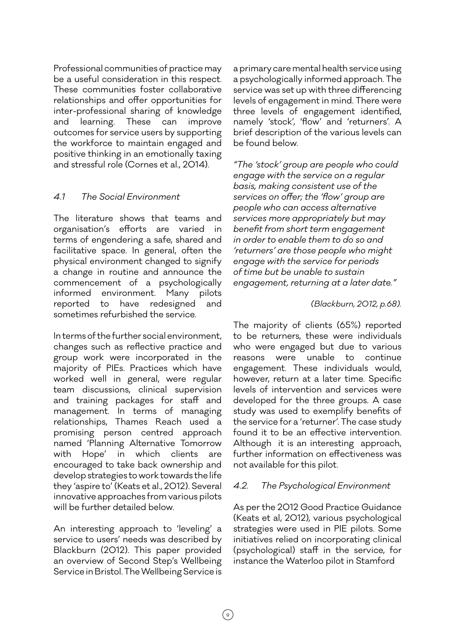Professional communities of practice may be a useful consideration in this respect. These communities foster collaborative relationships and offer opportunities for inter-professional sharing of knowledge and learning. These can improve outcomes for service users by supporting the workforce to maintain engaged and positive thinking in an emotionally taxing and stressful role (Cornes et al., 2014).

#### *4.1 The Social Environment*

The literature shows that teams and organisation's efforts are varied in terms of engendering a safe, shared and facilitative space. In general, often the physical environment changed to signify a change in routine and announce the commencement of a psychologically informed environment. Many pilots reported to have redesigned and sometimes refurbished the service.

In terms of the further social environment, changes such as reflective practice and group work were incorporated in the majority of PIEs. Practices which have worked well in general, were regular team discussions, clinical supervision and training packages for staff and management. In terms of managing relationships, Thames Reach used a promising person centred approach named 'Planning Alternative Tomorrow with Hope' in which clients are encouraged to take back ownership and develop strategies to work towards the life they 'aspire to' (Keats et al., 2012). Several innovative approaches from various pilots will be further detailed below.

An interesting approach to 'leveling' a service to users' needs was described by Blackburn (2012). This paper provided an overview of Second Step's Wellbeing Service in Bristol. The Wellbeing Service is

a primary care mental health service using a psychologically informed approach. The service was set up with three differencing levels of engagement in mind. There were three levels of engagement identified, namely 'stock', 'flow' and 'returners'. A brief description of the various levels can be found below.

*"The 'stock' group are people who could engage with the service on a regular basis, making consistent use of the services on offer; the 'flow' group are people who can access alternative services more appropriately but may benefit from short term engagement in order to enable them to do so and 'returners' are those people who might engage with the service for periods of time but be unable to sustain engagement, returning at a later date."* 

#### *(Blackburn, 2012, p.68).*

The majority of clients (65%) reported to be returners, these were individuals who were engaged but due to various reasons were unable to continue engagement. These individuals would, however, return at a later time. Specific levels of intervention and services were developed for the three groups. A case study was used to exemplify benefits of the service for a 'returner'. The case study found it to be an effective intervention. Although it is an interesting approach, further information on effectiveness was not available for this pilot.

#### *4.2. The Psychological Environment*

As per the 2012 Good Practice Guidance (Keats et al, 2012), various psychological strategies were used in PIE pilots. Some initiatives relied on incorporating clinical (psychological) staff in the service, for instance the Waterloo pilot in Stamford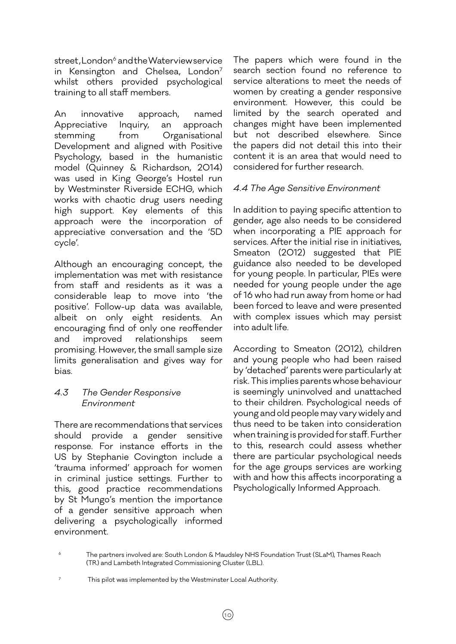street, London<sup>6</sup> and the Waterview service in Kensington and Chelsea, London<sup>7</sup> whilst others provided psychological training to all staff members.

An innovative approach, named Appreciative Inquiry, an approach stemming from Organisational Development and aligned with Positive Psychology, based in the humanistic model (Quinney & Richardson, 2014) was used in King George's Hostel run by Westminster Riverside ECHG, which works with chaotic drug users needing high support. Key elements of this approach were the incorporation of appreciative conversation and the '5D cycle'.

Although an encouraging concept, the implementation was met with resistance from staff and residents as it was a considerable leap to move into 'the positive'. Follow-up data was available, albeit on only eight residents. An encouraging find of only one reoffender and improved relationships seem promising. However, the small sample size limits generalisation and gives way for bias.

#### *4.3 The Gender Responsive Environment*

There are recommendations that services should provide a gender sensitive response. For instance efforts in the US by Stephanie Covington include a 'trauma informed' approach for women in criminal justice settings. Further to this, good practice recommendations by St Mungo's mention the importance of a gender sensitive approach when delivering a psychologically informed environment.

The papers which were found in the search section found no reference to service alterations to meet the needs of women by creating a gender responsive environment. However, this could be limited by the search operated and changes might have been implemented but not described elsewhere. Since the papers did not detail this into their content it is an area that would need to considered for further research.

#### *4.4 The Age Sensitive Environment*

In addition to paying specific attention to gender, age also needs to be considered when incorporating a PIE approach for services. After the initial rise in initiatives, Smeaton (2012) suggested that PIE guidance also needed to be developed for young people. In particular, PIEs were needed for young people under the age of 16 who had run away from home or had been forced to leave and were presented with complex issues which may persist into adult life.

According to Smeaton (2012), children and young people who had been raised by 'detached' parents were particularly at risk. This implies parents whose behaviour is seemingly uninvolved and unattached to their children. Psychological needs of young and old people may vary widely and thus need to be taken into consideration when training is provided for staff. Further to this, research could assess whether there are particular psychological needs for the age groups services are working with and how this affects incorporating a Psychologically Informed Approach.

7 This pilot was implemented by the Westminster Local Authority.

The partners involved are: South London & Maudsley NHS Foundation Trust (SLaM), Thames Reach (TR) and Lambeth Integrated Commissioning Cluster (LBL).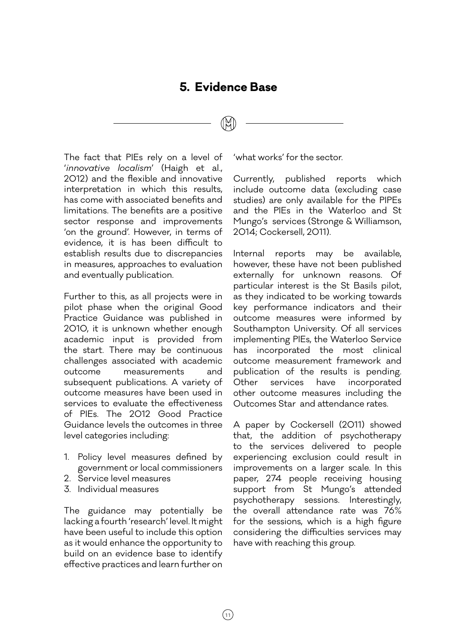#### **5. Evidence Base**

The fact that PIEs rely on a level of '*innovative localism*' (Haigh et al., 2012) and the flexible and innovative interpretation in which this results, has come with associated benefits and limitations. The benefits are a positive sector response and improvements 'on the ground'. However, in terms of evidence, it is has been difficult to establish results due to discrepancies in measures, approaches to evaluation and eventually publication.

Further to this, as all projects were in pilot phase when the original Good Practice Guidance was published in 2010, it is unknown whether enough academic input is provided from the start. There may be continuous challenges associated with academic outcome measurements and subsequent publications. A variety of outcome measures have been used in services to evaluate the effectiveness of PIEs. The 2012 Good Practice Guidance levels the outcomes in three level categories including:

- 1. Policy level measures defined by government or local commissioners
- 2. Service level measures
- 3. Individual measures

The guidance may potentially be lacking a fourth 'research' level. It might have been useful to include this option as it would enhance the opportunity to build on an evidence base to identify effective practices and learn further on 'what works' for the sector.

Currently, published reports which include outcome data (excluding case studies) are only available for the PIPEs and the PIEs in the Waterloo and St Mungo's services (Stronge & Williamson, 2014; Cockersell, 2011).

Internal reports may be available, however, these have not been published externally for unknown reasons. Of particular interest is the St Basils pilot, as they indicated to be working towards key performance indicators and their outcome measures were informed by Southampton University. Of all services implementing PIEs, the Waterloo Service has incorporated the most clinical outcome measurement framework and publication of the results is pending. Other services have incorporated other outcome measures including the Outcomes Star and attendance rates.

A paper by Cockersell (2011) showed that, the addition of psychotherapy to the services delivered to people experiencing exclusion could result in improvements on a larger scale. In this paper, 274 people receiving housing support from St Mungo's attended psychotherapy sessions. Interestingly, the overall attendance rate was 76% for the sessions, which is a high figure considering the difficulties services may have with reaching this group.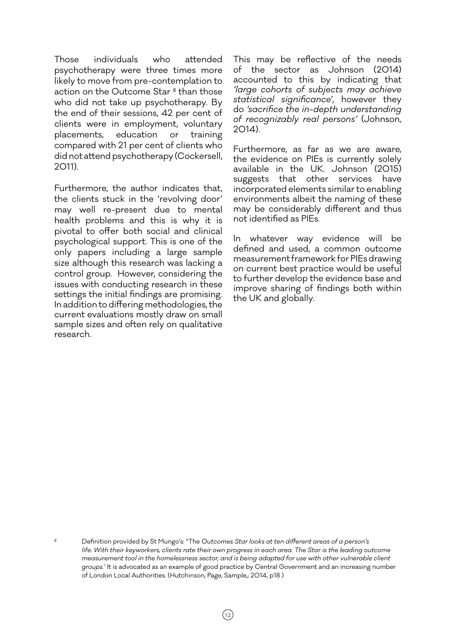Those individuals who attended psychotherapy were three times more likely to move from pre-contemplation to action on the Outcome Star<sup>8</sup> than those who did not take up psychotherapy. By the end of their sessions, 42 per cent of clients were in employment, voluntary placements, education or training compared with 21 per cent of clients who did not attend psychotherapy (Cockersell, 2011).

Furthermore, the author indicates that, the clients stuck in the 'revolving door' may well re-present due to mental health problems and this is why it is pivotal to offer both social and clinical psychological support. This is one of the only papers including a large sample size although this research was lacking a control group. However, considering the issues with conducting research in these settings the initial findings are promising. In addition to differing methodologies, the current evaluations mostly draw on small sample sizes and often rely on qualitative research.

This may be reflective of the needs of the sector as Johnson (2014) accounted to this by indicating that *'large cohorts of subjects may achieve statistical significance*', however they do *'sacrifice the in-depth understanding of recognizably real persons'* (Johnson, 2014).

Furthermore, as far as we are aware, the evidence on PIEs is currently solely available in the UK. Johnson (2015) suggests that other services have incorporated elements similar to enabling environments albeit the naming of these may be considerably different and thus not identified as PIEs.

In whatever way evidence will be defined and used, a common outcome measurement framework for PIEs drawing on current best practice would be useful to further develop the evidence base and improve sharing of findings both within the UK and globally.

8 Definition provided by St Mungo's: "Th*e Outcomes Star looks at ten different areas of a person's life. With their keyworkers, clients rate their own progress in each area. The Star is the leading outcome measurement tool in the homelessness sector, and is being adapted for use with other vulnerable client groups.*' It is advocated as an example of good practice by Central Government and an increasing number of London Local Authorities. (Hutchinson, Page, Sample,; 2014, p18 )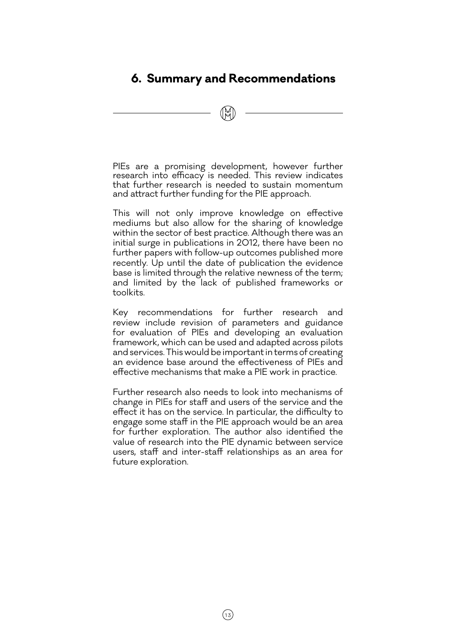### **6. Summary and Recommendations**

PIEs are a promising development, however further research into efficacy is needed. This review indicates that further research is needed to sustain momentum and attract further funding for the PIE approach.

This will not only improve knowledge on effective mediums but also allow for the sharing of knowledge within the sector of best practice. Although there was an initial surge in publications in 2012, there have been no further papers with follow-up outcomes published more recently. Up until the date of publication the evidence base is limited through the relative newness of the term; and limited by the lack of published frameworks or toolkits.

Key recommendations for further research and review include revision of parameters and guidance for evaluation of PIEs and developing an evaluation framework, which can be used and adapted across pilots and services. This would be important in terms of creating an evidence base around the effectiveness of PIEs and effective mechanisms that make a PIE work in practice.

Further research also needs to look into mechanisms of change in PIEs for staff and users of the service and the effect it has on the service. In particular, the difficulty to engage some staff in the PIE approach would be an area for further exploration. The author also identified the value of research into the PIE dynamic between service users, staff and inter-staff relationships as an area for future exploration.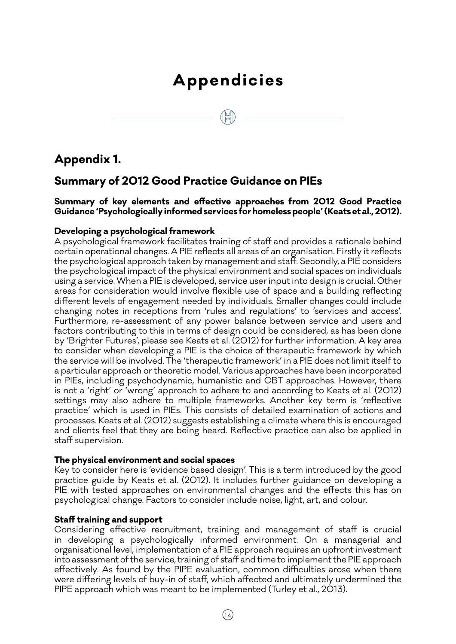# **Appendicies**

# **Appendix 1.**

#### **Summary of 2012 Good Practice Guidance on PIEs**

**Summary of key elements and effective approaches from 2012 Good Practice Guidance 'Psychologically informed services for homeless people' (Keats et al., 2012).** 

#### **Developing a psychological framework**

A psychological framework facilitates training of staff and provides a rationale behind certain operational changes. A PIE reflects all areas of an organisation. Firstly it reflects the psychological approach taken by management and staff. Secondly, a PIE considers the psychological impact of the physical environment and social spaces on individuals using a service. When a PIE is developed, service user input into design is crucial. Other areas for consideration would involve flexible use of space and a building reflecting different levels of engagement needed by individuals. Smaller changes could include changing notes in receptions from 'rules and regulations' to 'services and access'. Furthermore, re-assessment of any power balance between service and users and factors contributing to this in terms of design could be considered, as has been done by 'Brighter Futures', please see Keats et al. (2012) for further information. A key area to consider when developing a PIE is the choice of therapeutic framework by which the service will be involved. The 'therapeutic framework' in a PIE does not limit itself to a particular approach or theoretic model. Various approaches have been incorporated in PIEs, including psychodynamic, humanistic and CBT approaches. However, there is not a 'right' or 'wrong' approach to adhere to and according to Keats et al. (2012) settings may also adhere to multiple frameworks. Another key term is 'reflective practice' which is used in PIEs. This consists of detailed examination of actions and processes. Keats et al. (2012) suggests establishing a climate where this is encouraged and clients feel that they are being heard. Reflective practice can also be applied in staff supervision.

#### **The physical environment and social spaces**

Key to consider here is 'evidence based design'. This is a term introduced by the good practice guide by Keats et al. (2012). It includes further guidance on developing a PIE with tested approaches on environmental changes and the effects this has on psychological change. Factors to consider include noise, light, art, and colour.

#### **Staff training and support**

Considering effective recruitment, training and management of staff is crucial in developing a psychologically informed environment. On a managerial and organisational level, implementation of a PIE approach requires an upfront investment into assessment of the service, training of staff and time to implement the PIE approach effectively. As found by the PIPE evaluation, common difficulties arose when there were differing levels of buy-in of staff, which affected and ultimately undermined the PIPE approach which was meant to be implemented (Turley et al., 2013).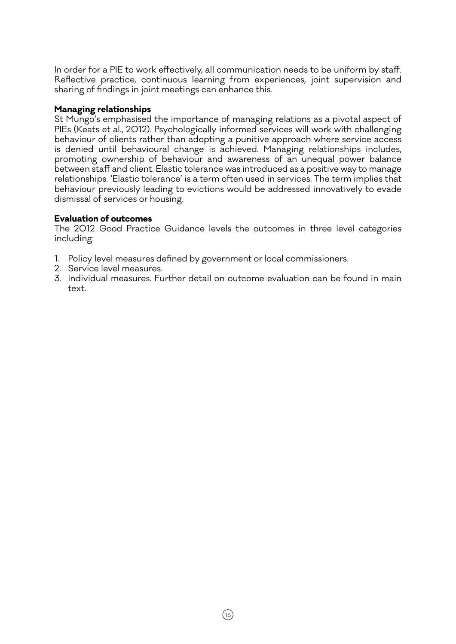In order for a PIE to work effectively, all communication needs to be uniform by staff. Reflective practice, continuous learning from experiences, joint supervision and sharing of findings in joint meetings can enhance this.

#### **Managing relationships**

St Mungo's emphasised the importance of managing relations as a pivotal aspect of PIEs (Keats et al., 2012). Psychologically informed services will work with challenging behaviour of clients rather than adopting a punitive approach where service access is denied until behavioural change is achieved. Managing relationships includes, promoting ownership of behaviour and awareness of an unequal power balance between staff and client. Elastic tolerance was introduced as a positive way to manage relationships. 'Elastic tolerance' is a term often used in services. The term implies that behaviour previously leading to evictions would be addressed innovatively to evade dismissal of services or housing.

#### **Evaluation of outcomes**

The 2012 Good Practice Guidance levels the outcomes in three level categories including:

- 1. Policy level measures defined by government or local commissioners.
- 2. Service level measures.
- 3. Individual measures. Further detail on outcome evaluation can be found in main text.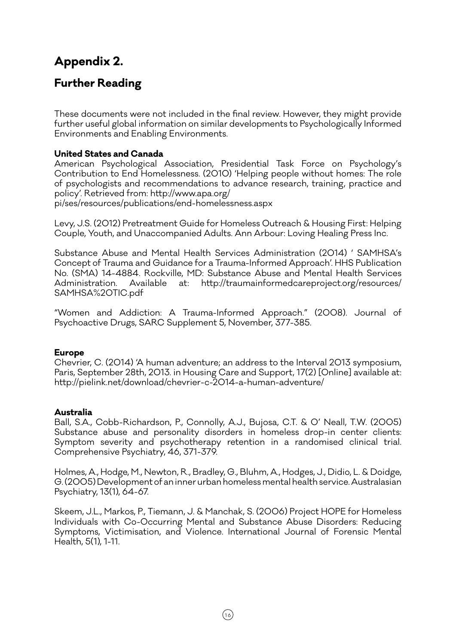# **Appendix 2.**

### **Further Reading**

These documents were not included in the final review. However, they might provide further useful global information on similar developments to Psychologically Informed Environments and Enabling Environments.

#### **United States and Canada**

American Psychological Association, Presidential Task Force on Psychology's Contribution to End Homelessness. (2010) 'Helping people without homes: The role of psychologists and recommendations to advance research, training, practice and policy'. Retrieved from: http://www.apa.org/ pi/ses/resources/publications/end-homelessness.aspx

Levy, J.S. (2012) Pretreatment Guide for Homeless Outreach & Housing First: Helping Couple, Youth, and Unaccompanied Adults. Ann Arbour: Loving Healing Press Inc.

Substance Abuse and Mental Health Services Administration (2014) ' SAMHSA's Concept of Trauma and Guidance for a Trauma-Informed Approach'. HHS Publication No. (SMA) 14-4884. Rockville, MD: Substance Abuse and Mental Health Services Administration. Available at: http://traumainformedcareproject.org/resources/ SAMHSA%20TIC.pdf

"Women and Addiction: A Trauma-Informed Approach." (2008). Journal of Psychoactive Drugs, SARC Supplement 5, November, 377-385.

#### **Europe**

Chevrier, C. (2014) 'A human adventure; an address to the Interval 2013 symposium, Paris, September 28th, 2013. in Housing Care and Support, 17(2) [Online] available at: http://pielink.net/download/chevrier-c-2014-a-human-adventure/

#### **Australia**

Ball, S.A., Cobb-Richardson, P., Connolly, A.J., Bujosa, C.T. & O' Neall, T.W. (2005) Substance abuse and personality disorders in homeless drop-in center clients: Symptom severity and psychotherapy retention in a randomised clinical trial. Comprehensive Psychiatry, 46, 371-379.

Holmes, A., Hodge, M., Newton, R., Bradley, G., Bluhm, A., Hodges, J., Didio, L. & Doidge, G. (2005) Development of an inner urban homeless mental health service. Australasian Psychiatry, 13(1), 64-67.

Skeem, J.L., Markos, P., Tiemann, J. & Manchak, S. (2006) Project HOPE for Homeless Individuals with Co-Occurring Mental and Substance Abuse Disorders: Reducing Symptoms, Victimisation, and Violence. International Journal of Forensic Mental Health, 5(1), 1-11.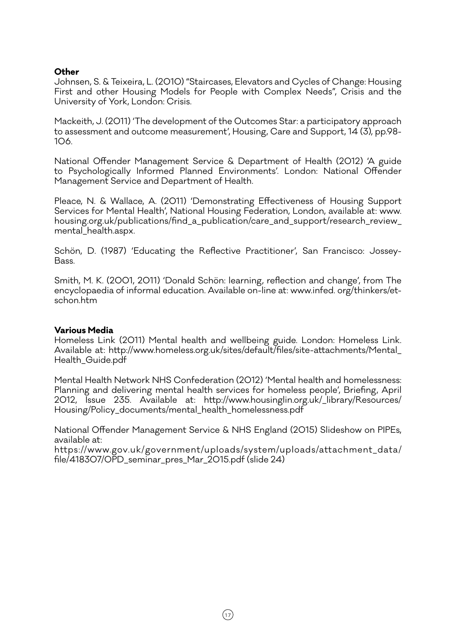#### **Other**

Johnsen, S. & Teixeira, L. (2010) "Staircases, Elevators and Cycles of Change: Housing First and other Housing Models for People with Complex Needs", Crisis and the University of York, London: Crisis.

Mackeith, J. (2011) 'The development of the Outcomes Star: a participatory approach to assessment and outcome measurement', Housing, Care and Support, 14 (3), pp.98- 106.

National Offender Management Service & Department of Health (2012) 'A guide to Psychologically Informed Planned Environments'. London: National Offender Management Service and Department of Health.

Pleace, N. & Wallace, A. (2011) 'Demonstrating Effectiveness of Housing Support Services for Mental Health', National Housing Federation, London, available at: www. housing.org.uk/publications/find\_a\_publication/care\_and\_support/research\_review\_ mental health.aspx.

Schön, D. (1987) 'Educating the Reflective Practitioner', San Francisco: Jossey-Bass.

Smith, M. K. (2001, 2011) 'Donald Schön: learning, reflection and change', from The encyclopaedia of informal education. Available on-line at: www.infed. org/thinkers/etschon.htm

#### **Various Media**

Homeless Link (2011) Mental health and wellbeing guide. London: Homeless Link. Available at: http://www.homeless.org.uk/sites/default/files/site-attachments/Mental\_ Health\_Guide.pdf

Mental Health Network NHS Confederation (2012) 'Mental health and homelessness: Planning and delivering mental health services for homeless people', Briefing, April 2012, Issue 235. Available at: http://www.housinglin.org.uk/\_library/Resources/ Housing/Policy\_documents/mental\_health\_homelessness.pdf

National Offender Management Service & NHS England (2015) Slideshow on PIPEs, available at:

https://www.gov.uk/government/uploads/system/uploads/attachment\_data/ file/418307/OPD\_seminar\_pres\_Mar\_2015.pdf (slide 24)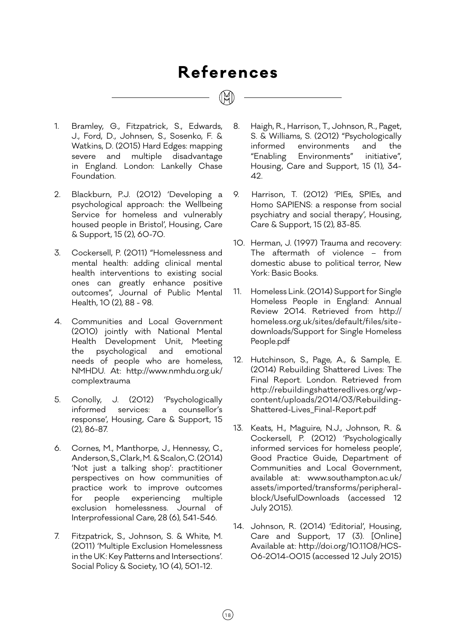# **References**

- 1. Bramley, G., Fitzpatrick, S., Edwards, J., Ford, D., Johnsen, S., Sosenko, F. & Watkins, D. (2015) Hard Edges: mapping severe and multiple disadvantage in England. London: Lankelly Chase Foundation.
- 2. Blackburn, P.J. (2012) 'Developing a psychological approach: the Wellbeing Service for homeless and vulnerably housed people in Bristol', Housing, Care & Support, 15 (2), 60-70.
- 3. Cockersell, P. (2011) "Homelessness and mental health: adding clinical mental health interventions to existing social ones can greatly enhance positive outcomes", Journal of Public Mental Health, 10 (2), 88 - 98.
- 4. Communities and Local Government (2010) jointly with National Mental Health Development Unit, Meeting the psychological and emotional needs of people who are homeless, NMHDU. At: http://www.nmhdu.org.uk/ complextrauma
- 5. Conolly, J. (2012) 'Psychologically informed services: a counsellor's response', Housing, Care & Support, 15 (2), 86-87.
- 6. Cornes, M., Manthorpe, J., Hennessy, C., Anderson, S., Clark, M. & Scalon, C. (2014) 'Not just a talking shop': practitioner perspectives on how communities of practice work to improve outcomes for people experiencing multiple exclusion homelessness. Journal of Interprofessional Care, 28 (6), 541-546.
- 7. Fitzpatrick, S., Johnson, S. & White, M. (2011) 'Multiple Exclusion Homelessness in the UK: Key Patterns and Intersections'. Social Policy & Society, 10 (4), 501-12.

8. Haigh, R., Harrison, T., Johnson, R., Paget, S. & Williams, S. (2012) "Psychologically informed environments and the "Enabling Environments" initiative", Housing, Care and Support, 15 (1), 34- 42.

- 9. Harrison, T. (2012) 'PIEs, SPIEs, and Homo SAPIENS: a response from social psychiatry and social therapy', Housing, Care & Support, 15 (2), 83-85.
- 10. Herman, J. (1997) Trauma and recovery: The aftermath of violence – from domestic abuse to political terror, New York: Basic Books.
- 11. Homeless Link. (2014) Support for Single Homeless People in England: Annual Review 2014. Retrieved from http:// homeless.org.uk/sites/default/files/sitedownloads/Support for Single Homeless People.pdf
- 12. Hutchinson, S., Page, A., & Sample, E. (2014) Rebuilding Shattered Lives: The Final Report. London. Retrieved from http://rebuildingshatteredlives.org/wpcontent/uploads/2014/03/Rebuilding-Shattered-Lives\_Final-Report.pdf
- 13. Keats, H., Maguire, N.J., Johnson, R. & Cockersell, P. (2012) 'Psychologically informed services for homeless people', Good Practice Guide, Department of Communities and Local Government, available at: www.southampton.ac.uk/ assets/imported/transforms/peripheralblock/UsefulDownloads (accessed 12 July 2015).
- 14. Johnson, R. (2014) 'Editorial', Housing, Care and Support, 17 (3). [Online] Available at: http://doi.org/10.1108/HCS-06-2014-0015 (accessed 12 July 2015)

 $(18)$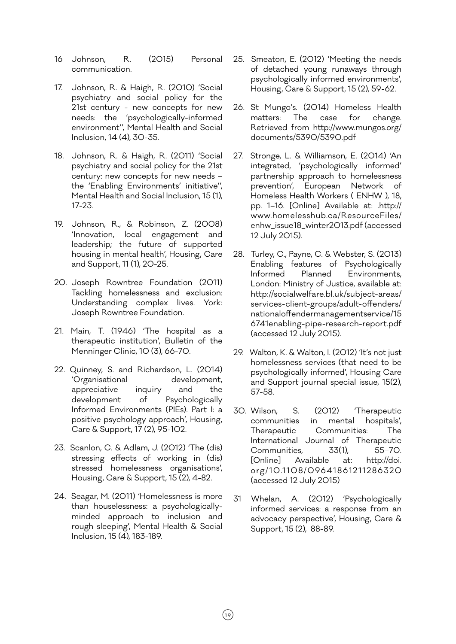- 16 Johnson, R. (2015) Personal communication.
- 17. Johnson, R. & Haigh, R. (2010) 'Social psychiatry and social policy for the 21st century - new concepts for new needs: the 'psychologically-informed environment'', Mental Health and Social Inclusion, 14 (4), 30-35.
- 18. Johnson, R. & Haigh, R. (2011) 'Social psychiatry and social policy for the 21st century: new concepts for new needs – the 'Enabling Environments' initiative'', Mental Health and Social Inclusion, 15 (1), 17-23.
- 19. Johnson, R., & Robinson, Z. (2008) 'Innovation, local engagement and leadership; the future of supported housing in mental health', Housing, Care and Support, 11 (1), 20-25.
- 20. Joseph Rowntree Foundation (2011) Tackling homelessness and exclusion: Understanding complex lives. York: Joseph Rowntree Foundation.
- 21. Main, T. (1946) 'The hospital as a therapeutic institution', Bulletin of the Menninger Clinic, 10 (3), 66-70.
- 22. Quinney, S. and Richardson, L. (2014) 'Organisational development, appreciative inquiry and the development of Psychologically Informed Environments (PIEs). Part I: a positive psychology approach', Housing, Care & Support, 17 (2), 95-102.
- 23. Scanlon, C. & Adlam, J. (2012) 'The (dis) stressing effects of working in (dis) stressed homelessness organisations', Housing, Care & Support, 15 (2), 4-82.
- 24. Seagar, M. (2011) 'Homelessness is more than houselessness: a psychologicallyminded approach to inclusion and rough sleeping', Mental Health & Social Inclusion, 15 (4), 183-189.
- 25. Smeaton, E. (2012) 'Meeting the needs of detached young runaways through psychologically informed environments', Housing, Care & Support, 15 (2), 59-62.
- 26. St Mungo's. (2014) Homeless Health matters: The case for change. Retrieved from http://www.mungos.org/ documents/5390/5390.pdf
- 27. Stronge, L. & Williamson, E. (2014) 'An integrated, 'psychologically informed' partnership approach to homelessness prevention', European Network of Homeless Health Workers ( ENHW ), 18, pp. 1–16. [Online] Available at: .http:// www.homelesshub.ca/ResourceFiles/ enhw\_issue18\_winter2013.pdf (accessed 12 July 2015).
- 28. Turley, C., Payne, C. & Webster, S. (2013) Enabling features of Psychologically Informed Planned Environments, London: Ministry of Justice, available at: http://socialwelfare.bl.uk/subject-areas/ services-client-groups/adult-offenders/ nationaloffendermanagementservice/15 6741enabling-pipe-research-report.pdf (accessed 12 July 2015).
- 29. Walton, K. & Walton, I. (2012) 'It's not just homelessness services (that need to be psychologically informed', Housing Care and Support journal special issue, 15(2), 57-58.
- 30. Wilson, S. (2012) 'Therapeutic communities in mental hospitals', Therapeutic Communities: The International Journal of Therapeutic Communities, 33(1), 55–70. [Online] Available at: http://doi. org/10.1108/09641861211286320 (accessed 12 July 2015)
- 31 Whelan, A. (2012) 'Psychologically informed services: a response from an advocacy perspective', Housing, Care & Support, 15 (2), 88-89.